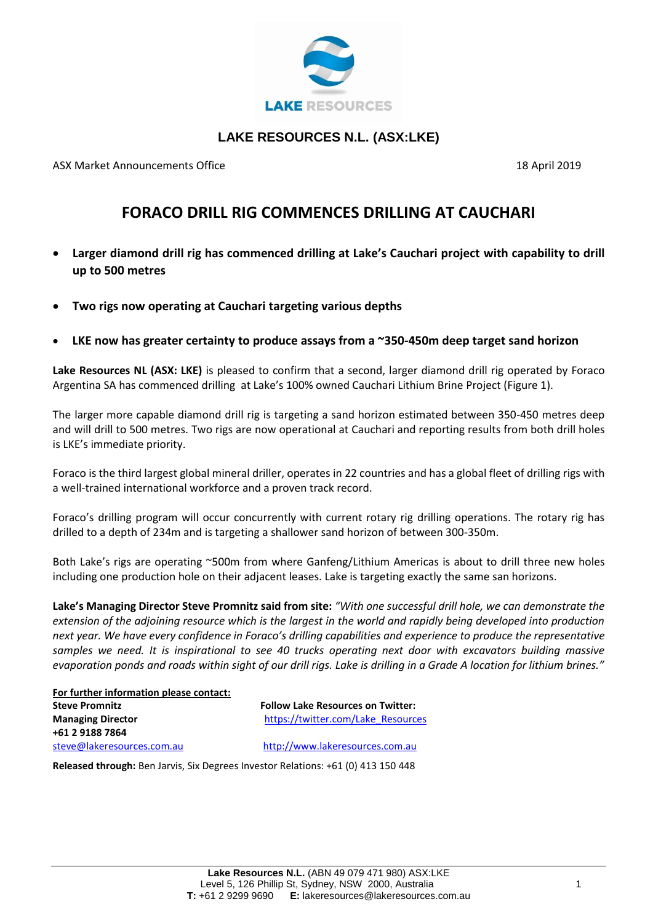

## **LAKE RESOURCES N.L. (ASX:LKE)**

ASX Market Announcements Office 18 April 2019 18 April 2019

## **FORACO DRILL RIG COMMENCES DRILLING AT CAUCHARI**

- **Larger diamond drill rig has commenced drilling at Lake's Cauchari project with capability to drill up to 500 metres**
- **Two rigs now operating at Cauchari targeting various depths**
- **LKE now has greater certainty to produce assays from a ~350-450m deep target sand horizon**

**Lake Resources NL (ASX: LKE)** is pleased to confirm that a second, larger diamond drill rig operated by Foraco Argentina SA has commenced drilling at Lake's 100% owned Cauchari Lithium Brine Project (Figure 1).

The larger more capable diamond drill rig is targeting a sand horizon estimated between 350-450 metres deep and will drill to 500 metres. Two rigs are now operational at Cauchari and reporting results from both drill holes is LKE's immediate priority.

Foraco is the third largest global mineral driller, operates in 22 countries and has a global fleet of drilling rigs with a well-trained international workforce and a proven track record.

Foraco's drilling program will occur concurrently with current rotary rig drilling operations. The rotary rig has drilled to a depth of 234m and is targeting a shallower sand horizon of between 300-350m.

Both Lake's rigs are operating ~500m from where Ganfeng/Lithium Americas is about to drill three new holes including one production hole on their adjacent leases. Lake is targeting exactly the same san horizons.

**Lake's Managing Director Steve Promnitz said from site:** *"With one successful drill hole, we can demonstrate the extension of the adjoining resource which is the largest in the world and rapidly being developed into production next year. We have every confidence in Foraco's drilling capabilities and experience to produce the representative samples we need. It is inspirational to see 40 trucks operating next door with excavators building massive evaporation ponds and roads within sight of our drill rigs. Lake is drilling in a Grade A location for lithium brines."*

| For further information please contact: |                                          |
|-----------------------------------------|------------------------------------------|
| <b>Steve Promnitz</b>                   | <b>Follow Lake Resources on Twitter:</b> |
| <b>Managing Director</b>                | https://twitter.com/Lake Resources       |
| +61 2 9188 7864                         |                                          |
| steve@lakeresources.com.au              | http://www.lakeresources.com.au          |

**Released through:** Ben Jarvis, Six Degrees Investor Relations: +61 (0) 413 150 448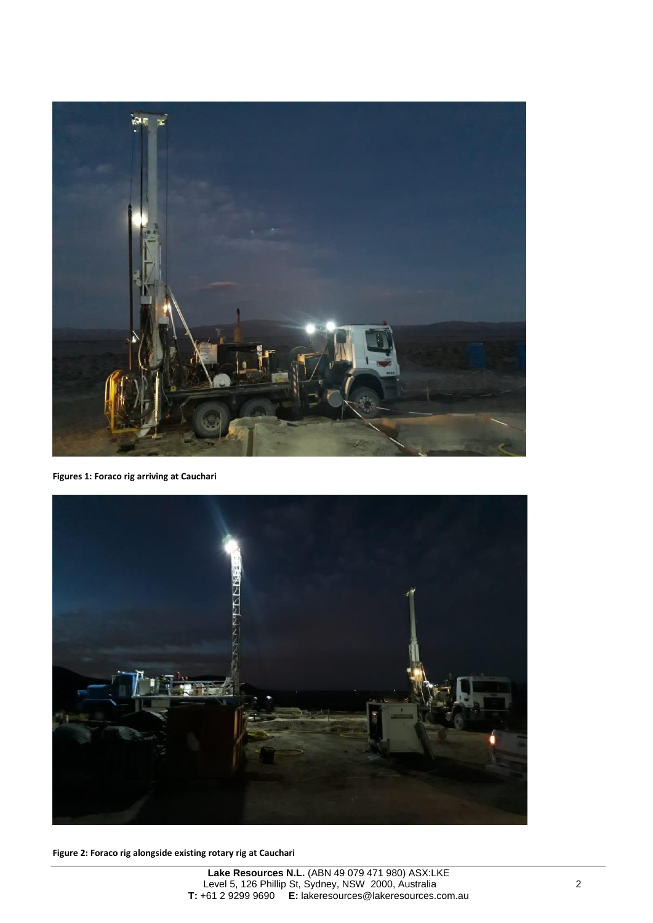

**Figures 1: Foraco rig arriving at Cauchari** 



**Figure 2: Foraco rig alongside existing rotary rig at Cauchari**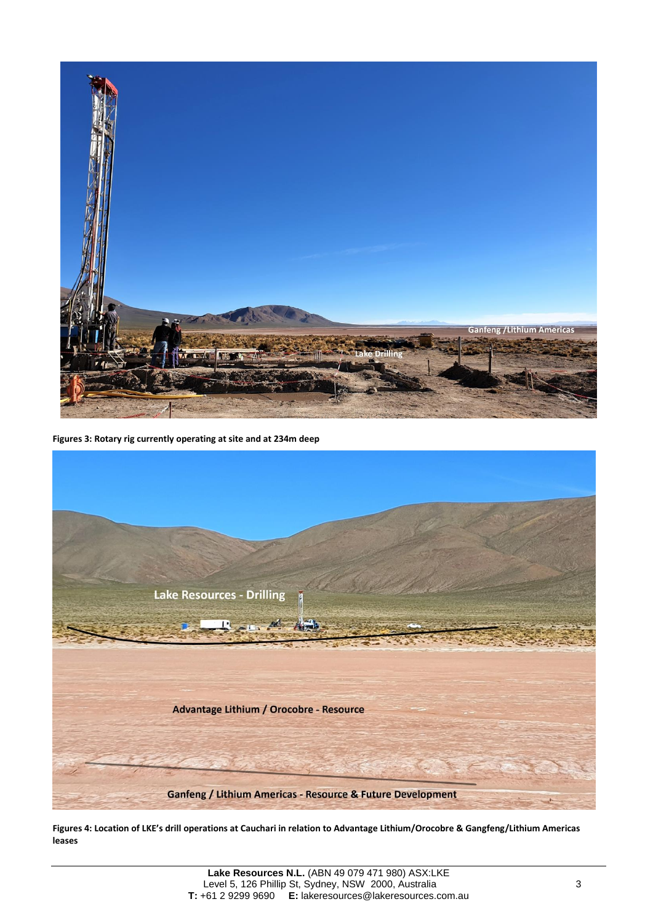

**Figures 3: Rotary rig currently operating at site and at 234m deep** 



**Figures 4: Location of LKE's drill operations at Cauchari in relation to Advantage Lithium/Orocobre & Gangfeng/Lithium Americas leases**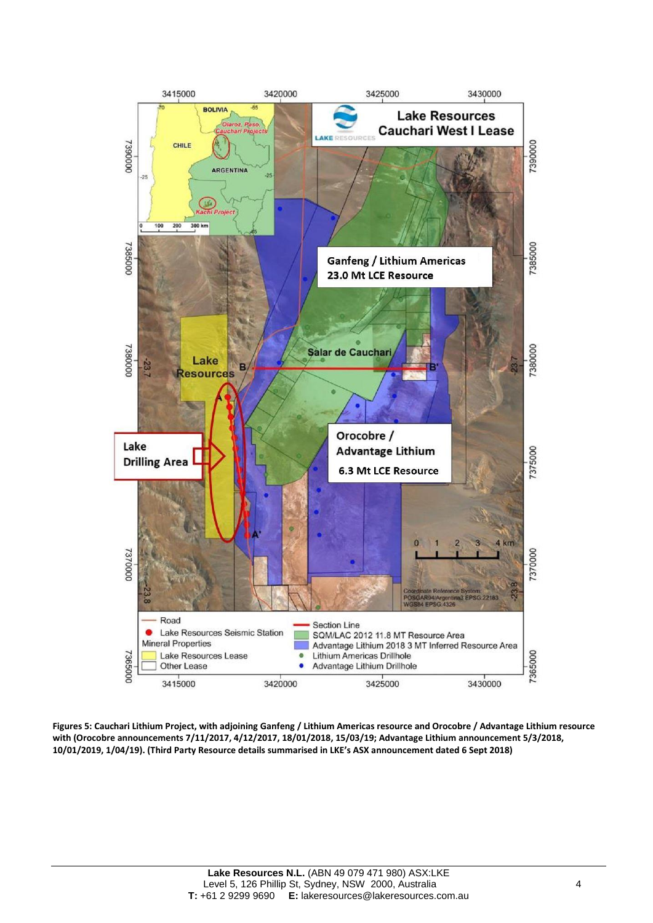

**Figures 5: Cauchari Lithium Project, with adjoining Ganfeng / Lithium Americas resource and Orocobre / Advantage Lithium resource with (Orocobre announcements 7/11/2017, 4/12/2017, 18/01/2018, 15/03/19; Advantage Lithium announcement 5/3/2018, 10/01/2019, 1/04/19). (Third Party Resource details summarised in LKE's ASX announcement dated 6 Sept 2018)**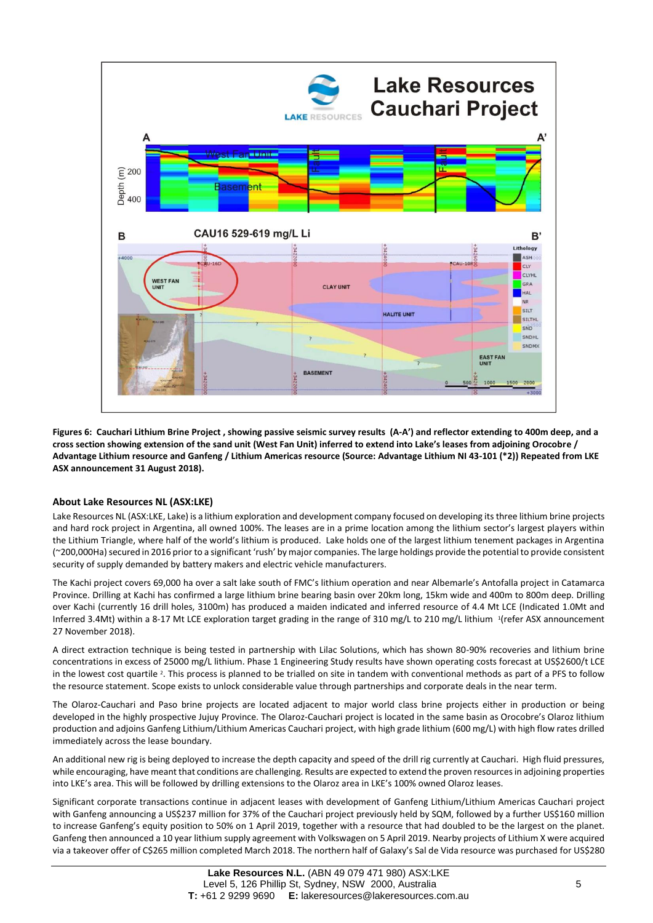

**Figures 6: Cauchari Lithium Brine Project , showing passive seismic survey results (A-A') and reflector extending to 400m deep, and a cross section showing extension of the sand unit (West Fan Unit) inferred to extend into Lake's leases from adjoining Orocobre / Advantage Lithium resource and Ganfeng / Lithium Americas resource (Source: Advantage Lithium NI 43-101 (\*2)) Repeated from LKE ASX announcement 31 August 2018).**

## **About Lake Resources NL (ASX:LKE)**

Lake Resources NL (ASX:LKE, Lake) is a lithium exploration and development company focused on developing its three lithium brine projects and hard rock project in Argentina, all owned 100%. The leases are in a prime location among the lithium sector's largest players within the Lithium Triangle, where half of the world's lithium is produced. Lake holds one of the largest lithium tenement packages in Argentina (~200,000Ha) secured in 2016 prior to a significant 'rush' by major companies. The large holdings provide the potential to provide consistent security of supply demanded by battery makers and electric vehicle manufacturers.

The Kachi project covers 69,000 ha over a salt lake south of FMC's lithium operation and near Albemarle's Antofalla project in Catamarca Province. Drilling at Kachi has confirmed a large lithium brine bearing basin over 20km long, 15km wide and 400m to 800m deep. Drilling over Kachi (currently 16 drill holes, 3100m) has produced a maiden indicated and inferred resource of 4.4 Mt LCE (Indicated 1.0Mt and Inferred 3.4Mt) within a 8-17 Mt LCE exploration target grading in the range of 310 mg/L to 210 mg/L lithium <sup>1</sup> (refer ASX announcement 27 November 2018).

A direct extraction technique is being tested in partnership with Lilac Solutions, which has shown 80-90% recoveries and lithium brine concentrations in excess of 25000 mg/L lithium. Phase 1 Engineering Study results have shown operating costs forecast at US\$2600/t LCE in the lowest cost quartile <sup>2</sup>. This process is planned to be trialled on site in tandem with conventional methods as part of a PFS to follow the resource statement. Scope exists to unlock considerable value through partnerships and corporate deals in the near term.

The Olaroz-Cauchari and Paso brine projects are located adjacent to major world class brine projects either in production or being developed in the highly prospective Jujuy Province. The Olaroz-Cauchari project is located in the same basin as Orocobre's Olaroz lithium production and adjoins Ganfeng Lithium/Lithium Americas Cauchari project, with high grade lithium (600 mg/L) with high flow rates drilled immediately across the lease boundary.

An additional new rig is being deployed to increase the depth capacity and speed of the drill rig currently at Cauchari. High fluid pressures, while encouraging, have meant that conditions are challenging. Results are expected to extend the proven resources in adjoining properties into LKE's area. This will be followed by drilling extensions to the Olaroz area in LKE's 100% owned Olaroz leases.

Significant corporate transactions continue in adjacent leases with development of Ganfeng Lithium/Lithium Americas Cauchari project with Ganfeng announcing a US\$237 million for 37% of the Cauchari project previously held by SQM, followed by a further US\$160 million to increase Ganfeng's equity position to 50% on 1 April 2019, together with a resource that had doubled to be the largest on the planet. Ganfeng then announced a 10 year lithium supply agreement with Volkswagen on 5 April 2019. Nearby projects of Lithium X were acquired via a takeover offer of C\$265 million completed March 2018. The northern half of Galaxy's Sal de Vida resource was purchased for US\$280